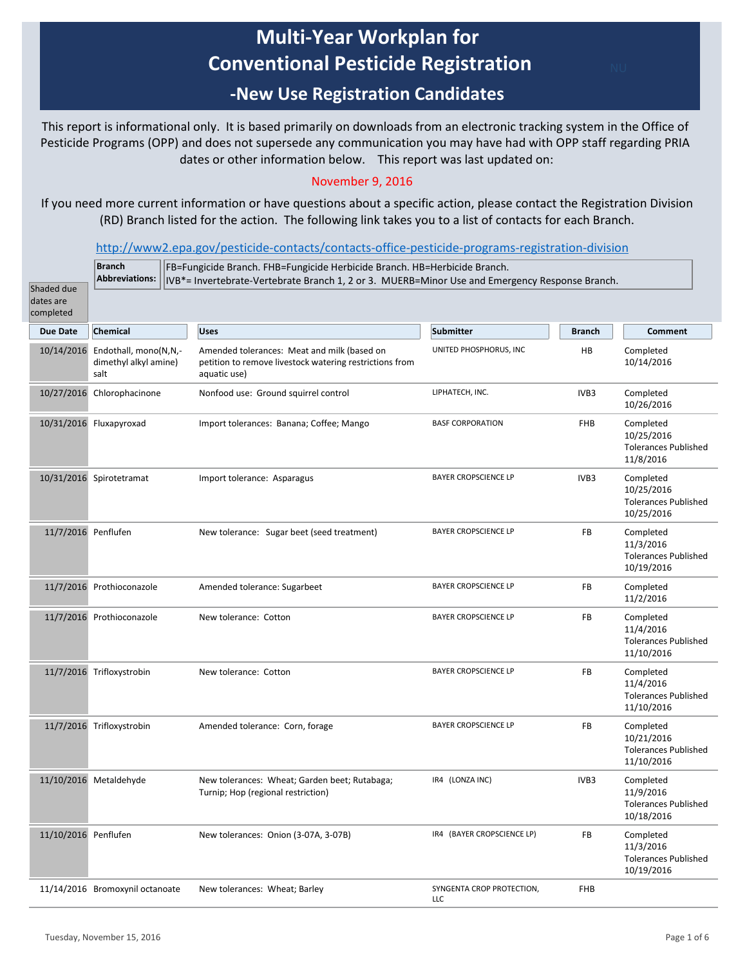## **Multi-Year Workplan for Conventional Pesticide Registration**

**- -New Use Registration Candidates** 

 Pesticide Programs (OPP) and does not supersede any communication you may have had with OPP staff regarding PRIA dates or other information below. This report was last updated on: This report is informational only. It is based primarily on downloads from an electronic tracking system in the Office of

## November 9, 2016

 If you need more current information or have questions about a specific action, please contact the Registration Division (RD) Branch listed for the action. The following link takes you to a list of contacts for each Branch.

<http://www2.epa.gov/pesticide-contacts/contacts-office-pesticide-programs-registration-division>

|                                      | <b>Branch</b><br>FB=Fungicide Branch. FHB=Fungicide Herbicide Branch. HB=Herbicide Branch.<br><b>Abbreviations:</b><br>IVB*= Invertebrate-Vertebrate Branch 1, 2 or 3. MUERB=Minor Use and Emergency Response Branch. |                                                                                     |                                                         |                                  |               |                                                                      |
|--------------------------------------|-----------------------------------------------------------------------------------------------------------------------------------------------------------------------------------------------------------------------|-------------------------------------------------------------------------------------|---------------------------------------------------------|----------------------------------|---------------|----------------------------------------------------------------------|
| Shaded due<br>dates are<br>completed |                                                                                                                                                                                                                       |                                                                                     |                                                         |                                  |               |                                                                      |
| <b>Due Date</b>                      | <b>Chemical</b>                                                                                                                                                                                                       | <b>Uses</b>                                                                         |                                                         | Submitter                        | <b>Branch</b> | Comment                                                              |
|                                      | 10/14/2016 Endothall, mono(N,N,-<br>dimethyl alkyl amine)<br>salt                                                                                                                                                     | Amended tolerances: Meat and milk (based on<br>aquatic use)                         | petition to remove livestock watering restrictions from | UNITED PHOSPHORUS, INC           | HB            | Completed<br>10/14/2016                                              |
|                                      | 10/27/2016 Chlorophacinone                                                                                                                                                                                            | Nonfood use: Ground squirrel control                                                |                                                         | LIPHATECH, INC.                  | IVB3          | Completed<br>10/26/2016                                              |
|                                      | 10/31/2016 Fluxapyroxad                                                                                                                                                                                               | Import tolerances: Banana; Coffee; Mango                                            |                                                         | <b>BASF CORPORATION</b>          | <b>FHB</b>    | Completed<br>10/25/2016<br><b>Tolerances Published</b><br>11/8/2016  |
|                                      | 10/31/2016 Spirotetramat                                                                                                                                                                                              | Import tolerance: Asparagus                                                         |                                                         | <b>BAYER CROPSCIENCE LP</b>      | IVB3          | Completed<br>10/25/2016<br><b>Tolerances Published</b><br>10/25/2016 |
| 11/7/2016 Penflufen                  |                                                                                                                                                                                                                       | New tolerance: Sugar beet (seed treatment)                                          |                                                         | <b>BAYER CROPSCIENCE LP</b>      | FB            | Completed<br>11/3/2016<br><b>Tolerances Published</b><br>10/19/2016  |
|                                      | 11/7/2016 Prothioconazole                                                                                                                                                                                             | Amended tolerance: Sugarbeet                                                        |                                                         | <b>BAYER CROPSCIENCE LP</b>      | FB            | Completed<br>11/2/2016                                               |
|                                      | 11/7/2016 Prothioconazole                                                                                                                                                                                             | New tolerance: Cotton                                                               |                                                         | <b>BAYER CROPSCIENCE LP</b>      | FB            | Completed<br>11/4/2016<br><b>Tolerances Published</b><br>11/10/2016  |
|                                      | 11/7/2016 Trifloxystrobin                                                                                                                                                                                             | New tolerance: Cotton                                                               |                                                         | <b>BAYER CROPSCIENCE LP</b>      | FB            | Completed<br>11/4/2016<br><b>Tolerances Published</b><br>11/10/2016  |
|                                      | 11/7/2016 Trifloxystrobin                                                                                                                                                                                             | Amended tolerance: Corn, forage                                                     |                                                         | <b>BAYER CROPSCIENCE LP</b>      | FB            | Completed<br>10/21/2016<br><b>Tolerances Published</b><br>11/10/2016 |
|                                      | 11/10/2016 Metaldehyde                                                                                                                                                                                                | New tolerances: Wheat; Garden beet; Rutabaga;<br>Turnip; Hop (regional restriction) |                                                         | IR4 (LONZA INC)                  | IVB3          | Completed<br>11/9/2016<br><b>Tolerances Published</b><br>10/18/2016  |
| 11/10/2016 Penflufen                 |                                                                                                                                                                                                                       | New tolerances: Onion (3-07A, 3-07B)                                                |                                                         | IR4 (BAYER CROPSCIENCE LP)       | FB            | Completed<br>11/3/2016<br><b>Tolerances Published</b><br>10/19/2016  |
|                                      | 11/14/2016 Bromoxynil octanoate                                                                                                                                                                                       | New tolerances: Wheat; Barley                                                       |                                                         | SYNGENTA CROP PROTECTION,<br>LLC | FHB           |                                                                      |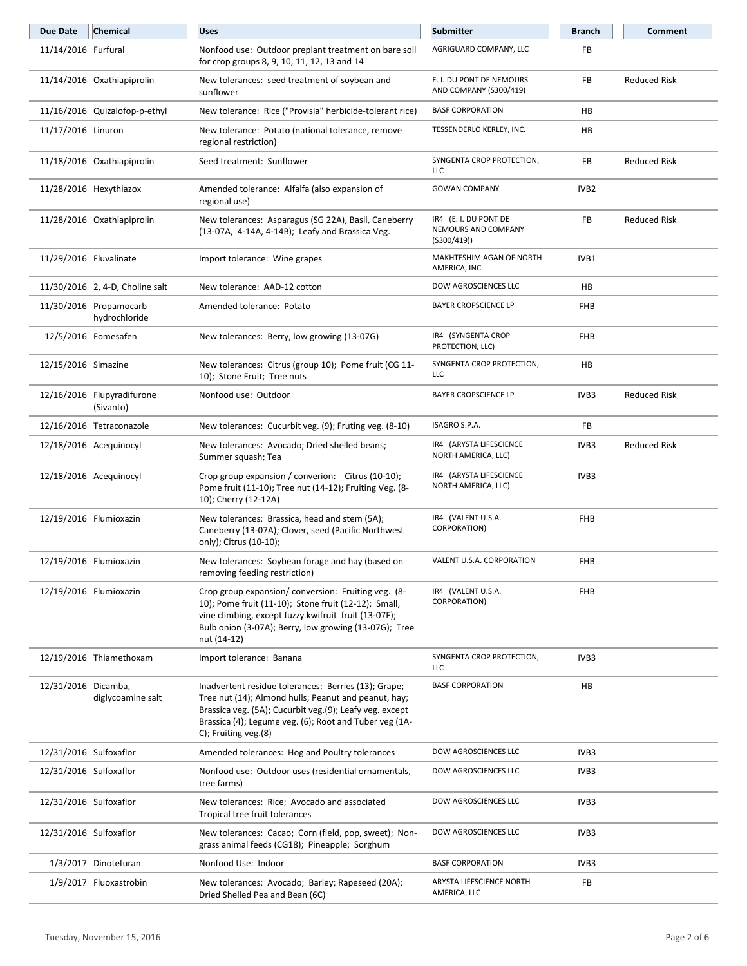| Due Date               | Chemical                                | <b>Uses</b>                                                                                                                                                                                                                                               | <b>Submitter</b>                                            | <b>Branch</b>    | Comment             |
|------------------------|-----------------------------------------|-----------------------------------------------------------------------------------------------------------------------------------------------------------------------------------------------------------------------------------------------------------|-------------------------------------------------------------|------------------|---------------------|
| 11/14/2016 Furfural    |                                         | Nonfood use: Outdoor preplant treatment on bare soil<br>for crop groups 8, 9, 10, 11, 12, 13 and 14                                                                                                                                                       | AGRIGUARD COMPANY, LLC                                      | FB               |                     |
|                        | 11/14/2016 Oxathiapiprolin              | New tolerances: seed treatment of soybean and<br>sunflower                                                                                                                                                                                                | E. I. DU PONT DE NEMOURS<br>AND COMPANY (S300/419)          | FB               | <b>Reduced Risk</b> |
|                        | 11/16/2016 Quizalofop-p-ethyl           | New tolerance: Rice ("Provisia" herbicide-tolerant rice)                                                                                                                                                                                                  | <b>BASF CORPORATION</b>                                     | HB               |                     |
| 11/17/2016 Linuron     |                                         | New tolerance: Potato (national tolerance, remove<br>regional restriction)                                                                                                                                                                                | TESSENDERLO KERLEY, INC.                                    | HB               |                     |
|                        | 11/18/2016 Oxathiapiprolin              | Seed treatment: Sunflower                                                                                                                                                                                                                                 | SYNGENTA CROP PROTECTION,<br>LLC                            | FB               | <b>Reduced Risk</b> |
|                        | 11/28/2016 Hexythiazox                  | Amended tolerance: Alfalfa (also expansion of<br>regional use)                                                                                                                                                                                            | <b>GOWAN COMPANY</b>                                        | IVB <sub>2</sub> |                     |
|                        | 11/28/2016 Oxathiapiprolin              | New tolerances: Asparagus (SG 22A), Basil, Caneberry<br>(13-07A, 4-14A, 4-14B); Leafy and Brassica Veg.                                                                                                                                                   | IR4 (E. I. DU PONT DE<br>NEMOURS AND COMPANY<br>(S300/419)) | FB               | <b>Reduced Risk</b> |
| 11/29/2016 Fluvalinate |                                         | Import tolerance: Wine grapes                                                                                                                                                                                                                             | MAKHTESHIM AGAN OF NORTH<br>AMERICA, INC.                   | IVB1             |                     |
|                        | 11/30/2016 2, 4-D, Choline salt         | New tolerance: AAD-12 cotton                                                                                                                                                                                                                              | DOW AGROSCIENCES LLC                                        | HB               |                     |
|                        | 11/30/2016 Propamocarb<br>hydrochloride | Amended tolerance: Potato                                                                                                                                                                                                                                 | <b>BAYER CROPSCIENCE LP</b>                                 | <b>FHB</b>       |                     |
|                        | 12/5/2016 Fomesafen                     | New tolerances: Berry, low growing (13-07G)                                                                                                                                                                                                               | IR4 (SYNGENTA CROP<br>PROTECTION, LLC)                      | <b>FHB</b>       |                     |
| 12/15/2016 Simazine    |                                         | New tolerances: Citrus (group 10); Pome fruit (CG 11-<br>10); Stone Fruit; Tree nuts                                                                                                                                                                      | SYNGENTA CROP PROTECTION,<br>LLC                            | <b>HB</b>        |                     |
|                        | 12/16/2016 Flupyradifurone<br>(Sivanto) | Nonfood use: Outdoor                                                                                                                                                                                                                                      | <b>BAYER CROPSCIENCE LP</b>                                 | IVB3             | <b>Reduced Risk</b> |
|                        | 12/16/2016 Tetraconazole                | New tolerances: Cucurbit veg. (9); Fruting veg. (8-10)                                                                                                                                                                                                    | ISAGRO S.P.A.                                               | FB               |                     |
|                        | 12/18/2016 Acequinocyl                  | New tolerances: Avocado; Dried shelled beans;<br>Summer squash; Tea                                                                                                                                                                                       | IR4 (ARYSTA LIFESCIENCE<br>NORTH AMERICA, LLC)              | IVB3             | <b>Reduced Risk</b> |
|                        | 12/18/2016 Acequinocyl                  | Crop group expansion / converion: Citrus (10-10);<br>Pome fruit (11-10); Tree nut (14-12); Fruiting Veg. (8-<br>10); Cherry (12-12A)                                                                                                                      | IR4 (ARYSTA LIFESCIENCE<br>NORTH AMERICA, LLC)              | IVB3             |                     |
|                        | 12/19/2016 Flumioxazin                  | New tolerances: Brassica, head and stem (5A);<br>Caneberry (13-07A); Clover, seed (Pacific Northwest<br>only); Citrus (10-10);                                                                                                                            | IR4 (VALENT U.S.A.<br>CORPORATION)                          | <b>FHB</b>       |                     |
|                        | 12/19/2016 Flumioxazin                  | New tolerances: Soybean forage and hay (based on<br>removing feeding restriction)                                                                                                                                                                         | VALENT U.S.A. CORPORATION                                   | <b>FHB</b>       |                     |
|                        | 12/19/2016 Flumioxazin                  | Crop group expansion/conversion: Fruiting veg. (8-<br>10); Pome fruit (11-10); Stone fruit (12-12); Small,<br>vine climbing, except fuzzy kwifruit fruit (13-07F);<br>Bulb onion (3-07A); Berry, low growing (13-07G); Tree<br>nut (14-12)                | IR4 (VALENT U.S.A.<br>CORPORATION)                          | <b>FHB</b>       |                     |
|                        | 12/19/2016 Thiamethoxam                 | Import tolerance: Banana                                                                                                                                                                                                                                  | SYNGENTA CROP PROTECTION,<br>LLC                            | IVB3             |                     |
| 12/31/2016 Dicamba,    | diglycoamine salt                       | Inadvertent residue tolerances: Berries (13); Grape;<br>Tree nut (14); Almond hulls; Peanut and peanut, hay;<br>Brassica veg. (5A); Cucurbit veg.(9); Leafy veg. except<br>Brassica (4); Legume veg. (6); Root and Tuber veg (1A-<br>C); Fruiting veg.(8) | <b>BASF CORPORATION</b>                                     | HB               |                     |
| 12/31/2016 Sulfoxaflor |                                         | Amended tolerances: Hog and Poultry tolerances                                                                                                                                                                                                            | DOW AGROSCIENCES LLC                                        | IVB3             |                     |
| 12/31/2016 Sulfoxaflor |                                         | Nonfood use: Outdoor uses (residential ornamentals,<br>tree farms)                                                                                                                                                                                        | DOW AGROSCIENCES LLC                                        | IVB3             |                     |
| 12/31/2016 Sulfoxaflor |                                         | New tolerances: Rice; Avocado and associated<br>Tropical tree fruit tolerances                                                                                                                                                                            | DOW AGROSCIENCES LLC                                        | IVB3             |                     |
| 12/31/2016 Sulfoxaflor |                                         | New tolerances: Cacao; Corn (field, pop, sweet); Non-<br>grass animal feeds (CG18); Pineapple; Sorghum                                                                                                                                                    | DOW AGROSCIENCES LLC                                        | IVB3             |                     |
|                        | 1/3/2017 Dinotefuran                    | Nonfood Use: Indoor                                                                                                                                                                                                                                       | <b>BASF CORPORATION</b>                                     | IVB3             |                     |
|                        | 1/9/2017 Fluoxastrobin                  | New tolerances: Avocado; Barley; Rapeseed (20A);<br>Dried Shelled Pea and Bean (6C)                                                                                                                                                                       | ARYSTA LIFESCIENCE NORTH<br>AMERICA, LLC                    | FB               |                     |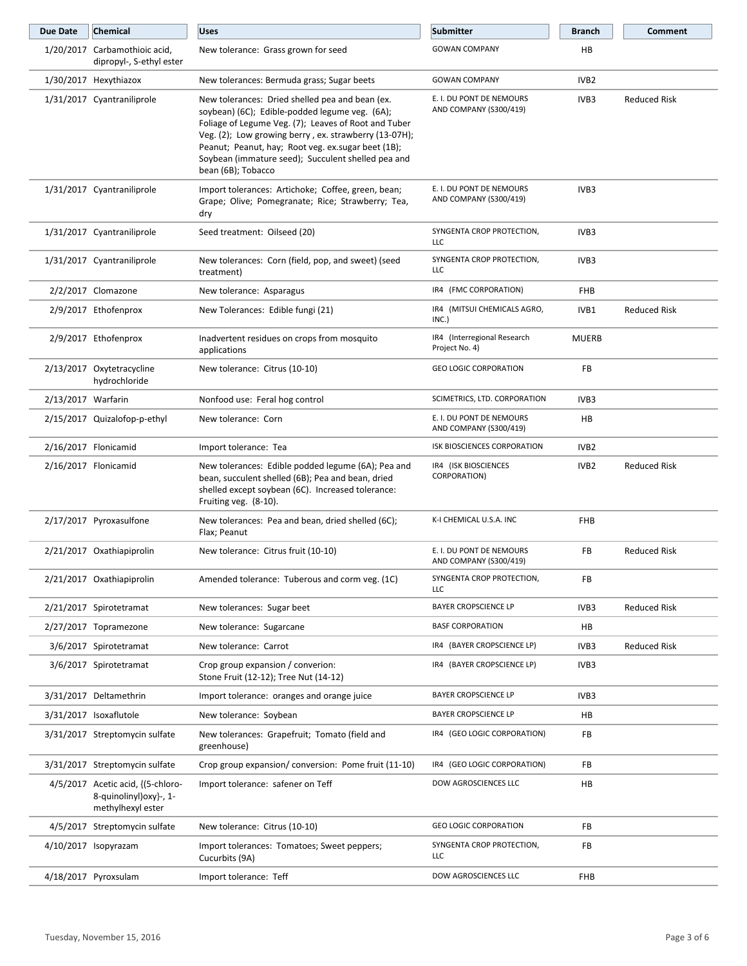| <b>Due Date</b>    | Chemical                                                                         | <b>Uses</b>                                                                                                                                                                                                                                                                                                                                          | <b>Submitter</b>                                   | <b>Branch</b>    | Comment             |
|--------------------|----------------------------------------------------------------------------------|------------------------------------------------------------------------------------------------------------------------------------------------------------------------------------------------------------------------------------------------------------------------------------------------------------------------------------------------------|----------------------------------------------------|------------------|---------------------|
|                    | 1/20/2017 Carbamothioic acid,<br>dipropyl-, S-ethyl ester                        | New tolerance: Grass grown for seed                                                                                                                                                                                                                                                                                                                  | <b>GOWAN COMPANY</b>                               | HB               |                     |
|                    | 1/30/2017 Hexythiazox                                                            | New tolerances: Bermuda grass; Sugar beets                                                                                                                                                                                                                                                                                                           | <b>GOWAN COMPANY</b>                               | IVB <sub>2</sub> |                     |
|                    | 1/31/2017 Cyantraniliprole                                                       | New tolerances: Dried shelled pea and bean (ex.<br>soybean) (6C); Edible-podded legume veg. (6A);<br>Foliage of Legume Veg. (7); Leaves of Root and Tuber<br>Veg. (2); Low growing berry, ex. strawberry (13-07H);<br>Peanut; Peanut, hay; Root veg. ex.sugar beet (1B);<br>Soybean (immature seed); Succulent shelled pea and<br>bean (6B); Tobacco | E. I. DU PONT DE NEMOURS<br>AND COMPANY (S300/419) | IVB <sub>3</sub> | <b>Reduced Risk</b> |
|                    | 1/31/2017 Cyantraniliprole                                                       | Import tolerances: Artichoke; Coffee, green, bean;<br>Grape; Olive; Pomegranate; Rice; Strawberry; Tea,<br>dry                                                                                                                                                                                                                                       | E. I. DU PONT DE NEMOURS<br>AND COMPANY (S300/419) | IVB <sub>3</sub> |                     |
|                    | 1/31/2017 Cyantraniliprole                                                       | Seed treatment: Oilseed (20)                                                                                                                                                                                                                                                                                                                         | SYNGENTA CROP PROTECTION,<br>LLC                   | IVB3             |                     |
|                    | 1/31/2017 Cyantraniliprole                                                       | New tolerances: Corn (field, pop, and sweet) (seed<br>treatment)                                                                                                                                                                                                                                                                                     | SYNGENTA CROP PROTECTION,<br>LLC                   | IVB3             |                     |
|                    | 2/2/2017 Clomazone                                                               | New tolerance: Asparagus                                                                                                                                                                                                                                                                                                                             | IR4 (FMC CORPORATION)                              | <b>FHB</b>       |                     |
|                    | 2/9/2017 Ethofenprox                                                             | New Tolerances: Edible fungi (21)                                                                                                                                                                                                                                                                                                                    | IR4 (MITSUI CHEMICALS AGRO,<br>INC.)               | IVB1             | <b>Reduced Risk</b> |
|                    | 2/9/2017 Ethofenprox                                                             | Inadvertent residues on crops from mosquito<br>applications                                                                                                                                                                                                                                                                                          | IR4 (Interregional Research<br>Project No. 4)      | <b>MUERB</b>     |                     |
|                    | 2/13/2017 Oxytetracycline<br>hydrochloride                                       | New tolerance: Citrus (10-10)                                                                                                                                                                                                                                                                                                                        | <b>GEO LOGIC CORPORATION</b>                       | <b>FB</b>        |                     |
| 2/13/2017 Warfarin |                                                                                  | Nonfood use: Feral hog control                                                                                                                                                                                                                                                                                                                       | SCIMETRICS, LTD. CORPORATION                       | IVB <sub>3</sub> |                     |
|                    | 2/15/2017 Quizalofop-p-ethyl                                                     | New tolerance: Corn                                                                                                                                                                                                                                                                                                                                  | E. I. DU PONT DE NEMOURS<br>AND COMPANY (S300/419) | HB               |                     |
|                    | 2/16/2017 Flonicamid                                                             | Import tolerance: Tea                                                                                                                                                                                                                                                                                                                                | <b>ISK BIOSCIENCES CORPORATION</b>                 | IVB <sub>2</sub> |                     |
|                    | 2/16/2017 Flonicamid                                                             | New tolerances: Edible podded legume (6A); Pea and<br>bean, succulent shelled (6B); Pea and bean, dried<br>shelled except soybean (6C). Increased tolerance:<br>Fruiting veg. (8-10).                                                                                                                                                                | IR4 (ISK BIOSCIENCES<br>CORPORATION)               | IVB <sub>2</sub> | <b>Reduced Risk</b> |
|                    | 2/17/2017 Pyroxasulfone                                                          | New tolerances: Pea and bean, dried shelled (6C);<br>Flax; Peanut                                                                                                                                                                                                                                                                                    | K-I CHEMICAL U.S.A. INC                            | <b>FHB</b>       |                     |
|                    | 2/21/2017 Oxathiapiprolin                                                        | New tolerance: Citrus fruit (10-10)                                                                                                                                                                                                                                                                                                                  | E. I. DU PONT DE NEMOURS<br>AND COMPANY (S300/419) | FB.              | <b>Reduced Risk</b> |
|                    | 2/21/2017 Oxathiapiprolin                                                        | Amended tolerance: Tuberous and corm veg. (1C)                                                                                                                                                                                                                                                                                                       | SYNGENTA CROP PROTECTION,<br>LLC                   | FB               |                     |
|                    | 2/21/2017 Spirotetramat                                                          | New tolerances: Sugar beet                                                                                                                                                                                                                                                                                                                           | <b>BAYER CROPSCIENCE LP</b>                        | IVB3             | <b>Reduced Risk</b> |
|                    | 2/27/2017 Topramezone                                                            | New tolerance: Sugarcane                                                                                                                                                                                                                                                                                                                             | <b>BASF CORPORATION</b>                            | HB               |                     |
|                    | 3/6/2017 Spirotetramat                                                           | New tolerance: Carrot                                                                                                                                                                                                                                                                                                                                | IR4 (BAYER CROPSCIENCE LP)                         | IVB3             | <b>Reduced Risk</b> |
|                    | 3/6/2017 Spirotetramat                                                           | Crop group expansion / converion:<br>Stone Fruit (12-12); Tree Nut (14-12)                                                                                                                                                                                                                                                                           | IR4 (BAYER CROPSCIENCE LP)                         | IVB3             |                     |
|                    | 3/31/2017 Deltamethrin                                                           | Import tolerance: oranges and orange juice                                                                                                                                                                                                                                                                                                           | <b>BAYER CROPSCIENCE LP</b>                        | IVB3             |                     |
|                    | 3/31/2017 Isoxaflutole                                                           | New tolerance: Soybean                                                                                                                                                                                                                                                                                                                               | <b>BAYER CROPSCIENCE LP</b>                        | HB               |                     |
|                    | 3/31/2017 Streptomycin sulfate                                                   | New tolerances: Grapefruit; Tomato (field and<br>greenhouse)                                                                                                                                                                                                                                                                                         | IR4 (GEO LOGIC CORPORATION)                        | FB               |                     |
|                    | 3/31/2017 Streptomycin sulfate                                                   | Crop group expansion/conversion: Pome fruit (11-10)                                                                                                                                                                                                                                                                                                  | IR4 (GEO LOGIC CORPORATION)                        | FB               |                     |
|                    | 4/5/2017 Acetic acid, {(5-chloro-<br>8-quinolinyl)oxy}-, 1-<br>methylhexyl ester | Import tolerance: safener on Teff                                                                                                                                                                                                                                                                                                                    | DOW AGROSCIENCES LLC                               | HB               |                     |
|                    | 4/5/2017 Streptomycin sulfate                                                    | New tolerance: Citrus (10-10)                                                                                                                                                                                                                                                                                                                        | <b>GEO LOGIC CORPORATION</b>                       | FB               |                     |
|                    | $4/10/2017$ Isopyrazam                                                           | Import tolerances: Tomatoes; Sweet peppers;<br>Cucurbits (9A)                                                                                                                                                                                                                                                                                        | SYNGENTA CROP PROTECTION,<br>LLC                   | FB               |                     |
|                    | 4/18/2017 Pyroxsulam                                                             | Import tolerance: Teff                                                                                                                                                                                                                                                                                                                               | DOW AGROSCIENCES LLC                               | <b>FHB</b>       |                     |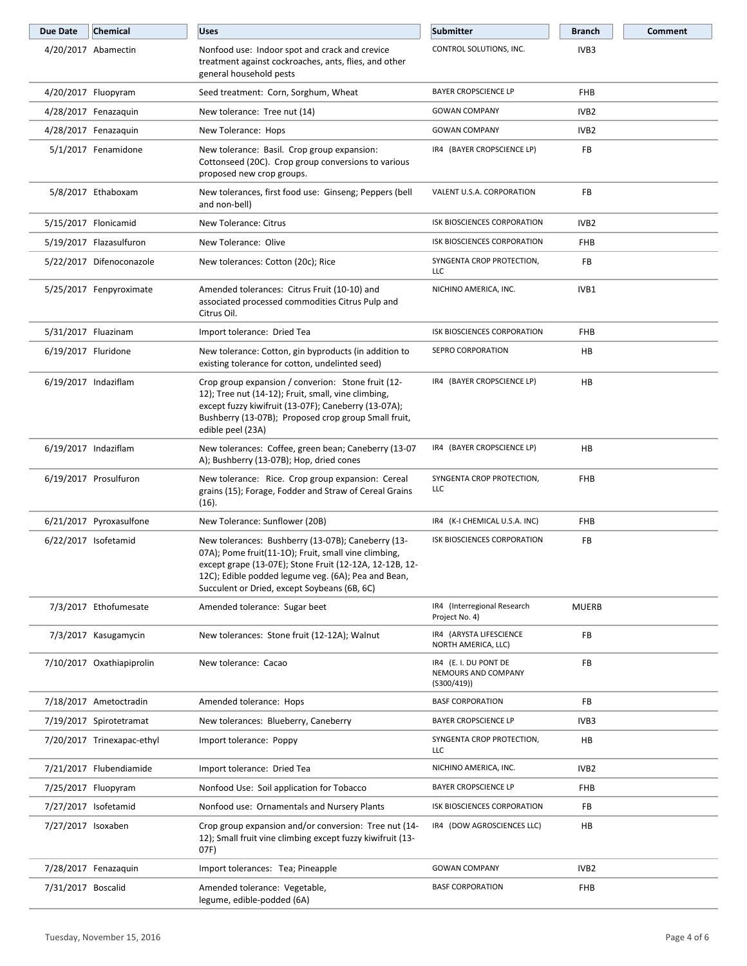| <b>Due Date</b>     | Chemical                   | <b>Uses</b>                                                                                                                                                                                                                                                                  | Submitter                                                   | Branch           | Comment |
|---------------------|----------------------------|------------------------------------------------------------------------------------------------------------------------------------------------------------------------------------------------------------------------------------------------------------------------------|-------------------------------------------------------------|------------------|---------|
|                     | 4/20/2017 Abamectin        | Nonfood use: Indoor spot and crack and crevice<br>treatment against cockroaches, ants, flies, and other<br>general household pests                                                                                                                                           | CONTROL SOLUTIONS, INC.                                     | IVB3             |         |
|                     | 4/20/2017 Fluopyram        | Seed treatment: Corn, Sorghum, Wheat                                                                                                                                                                                                                                         | <b>BAYER CROPSCIENCE LP</b>                                 | <b>FHB</b>       |         |
|                     | 4/28/2017 Fenazaguin       | New tolerance: Tree nut (14)                                                                                                                                                                                                                                                 | <b>GOWAN COMPANY</b>                                        | IVB <sub>2</sub> |         |
|                     | 4/28/2017 Fenazaquin       | New Tolerance: Hops                                                                                                                                                                                                                                                          | <b>GOWAN COMPANY</b>                                        | IVB <sub>2</sub> |         |
|                     | 5/1/2017 Fenamidone        | New tolerance: Basil. Crop group expansion:<br>Cottonseed (20C). Crop group conversions to various<br>proposed new crop groups.                                                                                                                                              | IR4 (BAYER CROPSCIENCE LP)                                  | FB               |         |
|                     | 5/8/2017 Ethaboxam         | New tolerances, first food use: Ginseng; Peppers (bell<br>and non-bell)                                                                                                                                                                                                      | VALENT U.S.A. CORPORATION                                   | FB               |         |
|                     | 5/15/2017 Flonicamid       | New Tolerance: Citrus                                                                                                                                                                                                                                                        | ISK BIOSCIENCES CORPORATION                                 | IVB <sub>2</sub> |         |
|                     | 5/19/2017 Flazasulfuron    | New Tolerance: Olive                                                                                                                                                                                                                                                         | ISK BIOSCIENCES CORPORATION                                 | <b>FHB</b>       |         |
|                     | 5/22/2017 Difenoconazole   | New tolerances: Cotton (20c); Rice                                                                                                                                                                                                                                           | SYNGENTA CROP PROTECTION,<br><b>LLC</b>                     | FB               |         |
|                     | 5/25/2017 Fenpyroximate    | Amended tolerances: Citrus Fruit (10-10) and<br>associated processed commodities Citrus Pulp and<br>Citrus Oil.                                                                                                                                                              | NICHINO AMERICA, INC.                                       | IVB1             |         |
| 5/31/2017 Fluazinam |                            | Import tolerance: Dried Tea                                                                                                                                                                                                                                                  | ISK BIOSCIENCES CORPORATION                                 | <b>FHB</b>       |         |
| 6/19/2017 Fluridone |                            | New tolerance: Cotton, gin byproducts (in addition to<br>existing tolerance for cotton, undelinted seed)                                                                                                                                                                     | SEPRO CORPORATION                                           | HB               |         |
|                     | $6/19/2017$ Indaziflam     | Crop group expansion / converion: Stone fruit (12-<br>12); Tree nut (14-12); Fruit, small, vine climbing,<br>except fuzzy kiwifruit (13-07F); Caneberry (13-07A);<br>Bushberry (13-07B); Proposed crop group Small fruit,<br>edible peel (23A)                               | IR4 (BAYER CROPSCIENCE LP)                                  | HB               |         |
|                     | 6/19/2017 Indaziflam       | New tolerances: Coffee, green bean; Caneberry (13-07<br>A); Bushberry (13-07B); Hop, dried cones                                                                                                                                                                             | IR4 (BAYER CROPSCIENCE LP)                                  | HB               |         |
|                     | 6/19/2017 Prosulfuron      | New tolerance: Rice. Crop group expansion: Cereal<br>grains (15); Forage, Fodder and Straw of Cereal Grains<br>(16).                                                                                                                                                         | SYNGENTA CROP PROTECTION,<br>LLC                            | <b>FHB</b>       |         |
|                     | 6/21/2017 Pyroxasulfone    | New Tolerance: Sunflower (20B)                                                                                                                                                                                                                                               | IR4 (K-I CHEMICAL U.S.A. INC)                               | <b>FHB</b>       |         |
|                     | 6/22/2017 Isofetamid       | New tolerances: Bushberry (13-07B); Caneberry (13-<br>07A); Pome fruit(11-10); Fruit, small vine climbing,<br>except grape (13-07E); Stone Fruit (12-12A, 12-12B, 12-<br>12C); Edible podded legume veg. (6A); Pea and Bean,<br>Succulent or Dried, except Soybeans (6B, 6C) | ISK BIOSCIENCES CORPORATION                                 | FB               |         |
|                     | 7/3/2017 Ethofumesate      | Amended tolerance: Sugar beet                                                                                                                                                                                                                                                | IR4 (Interregional Research<br>Project No. 4)               | <b>MUERB</b>     |         |
|                     | 7/3/2017 Kasugamycin       | New tolerances: Stone fruit (12-12A); Walnut                                                                                                                                                                                                                                 | IR4 (ARYSTA LIFESCIENCE<br>NORTH AMERICA, LLC)              | FB               |         |
|                     | 7/10/2017 Oxathiapiprolin  | New tolerance: Cacao                                                                                                                                                                                                                                                         | IR4 (E. I. DU PONT DE<br>NEMOURS AND COMPANY<br>(S300/419)) | <b>FB</b>        |         |
|                     | 7/18/2017 Ametoctradin     | Amended tolerance: Hops                                                                                                                                                                                                                                                      | <b>BASF CORPORATION</b>                                     | <b>FB</b>        |         |
|                     | 7/19/2017 Spirotetramat    | New tolerances: Blueberry, Caneberry                                                                                                                                                                                                                                         | <b>BAYER CROPSCIENCE LP</b>                                 | IVB3             |         |
|                     | 7/20/2017 Trinexapac-ethyl | Import tolerance: Poppy                                                                                                                                                                                                                                                      | SYNGENTA CROP PROTECTION,<br>LLC                            | HB               |         |
|                     | 7/21/2017 Flubendiamide    | Import tolerance: Dried Tea                                                                                                                                                                                                                                                  | NICHINO AMERICA, INC.                                       | IVB <sub>2</sub> |         |
|                     | 7/25/2017 Fluopyram        | Nonfood Use: Soil application for Tobacco                                                                                                                                                                                                                                    | <b>BAYER CROPSCIENCE LP</b>                                 | <b>FHB</b>       |         |
|                     | 7/27/2017 Isofetamid       | Nonfood use: Ornamentals and Nursery Plants                                                                                                                                                                                                                                  | ISK BIOSCIENCES CORPORATION                                 | FB               |         |
| 7/27/2017 Isoxaben  |                            | Crop group expansion and/or conversion: Tree nut (14-<br>12); Small fruit vine climbing except fuzzy kiwifruit (13-<br>07F)                                                                                                                                                  | IR4 (DOW AGROSCIENCES LLC)                                  | HB               |         |
|                     | 7/28/2017 Fenazaquin       | Import tolerances: Tea; Pineapple                                                                                                                                                                                                                                            | <b>GOWAN COMPANY</b>                                        | IVB <sub>2</sub> |         |
| 7/31/2017 Boscalid  |                            | Amended tolerance: Vegetable,<br>legume, edible-podded (6A)                                                                                                                                                                                                                  | <b>BASF CORPORATION</b>                                     | <b>FHB</b>       |         |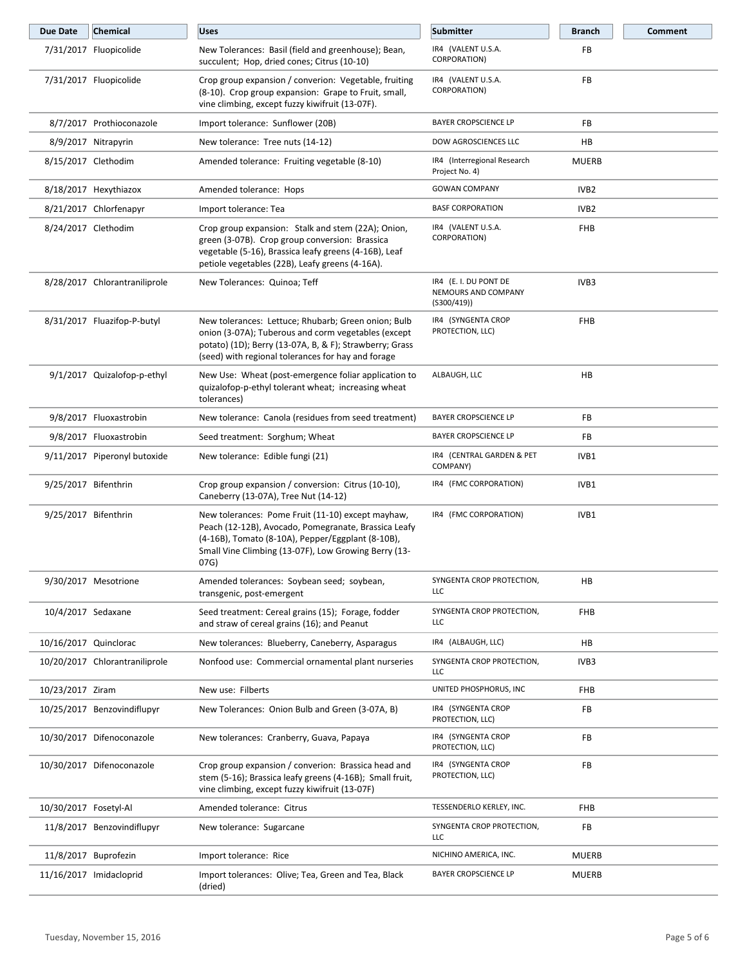| <b>Due Date</b>       | Chemical                       | <b>Uses</b>                                                                                                                                                                                                                    | <b>Submitter</b>                                           | <b>Branch</b>    | Comment |
|-----------------------|--------------------------------|--------------------------------------------------------------------------------------------------------------------------------------------------------------------------------------------------------------------------------|------------------------------------------------------------|------------------|---------|
|                       | 7/31/2017 Fluopicolide         | New Tolerances: Basil (field and greenhouse); Bean,<br>succulent; Hop, dried cones; Citrus (10-10)                                                                                                                             | IR4 (VALENT U.S.A.<br>CORPORATION)                         | FB               |         |
|                       | 7/31/2017 Fluopicolide         | Crop group expansion / converion: Vegetable, fruiting<br>(8-10). Crop group expansion: Grape to Fruit, small,<br>vine climbing, except fuzzy kiwifruit (13-07F).                                                               | IR4 (VALENT U.S.A.<br>CORPORATION)                         | FB               |         |
|                       | 8/7/2017 Prothioconazole       | Import tolerance: Sunflower (20B)                                                                                                                                                                                              | <b>BAYER CROPSCIENCE LP</b>                                | <b>FB</b>        |         |
|                       | 8/9/2017 Nitrapyrin            | New tolerance: Tree nuts (14-12)                                                                                                                                                                                               | DOW AGROSCIENCES LLC                                       | HB               |         |
|                       | 8/15/2017 Clethodim            | Amended tolerance: Fruiting vegetable (8-10)                                                                                                                                                                                   | IR4 (Interregional Research<br>Project No. 4)              | <b>MUERB</b>     |         |
|                       | 8/18/2017 Hexythiazox          | Amended tolerance: Hops                                                                                                                                                                                                        | <b>GOWAN COMPANY</b>                                       | IVB <sub>2</sub> |         |
|                       | 8/21/2017 Chlorfenapyr         | Import tolerance: Tea                                                                                                                                                                                                          | <b>BASF CORPORATION</b>                                    | IVB <sub>2</sub> |         |
|                       | 8/24/2017 Clethodim            | Crop group expansion: Stalk and stem (22A); Onion,<br>green (3-07B). Crop group conversion: Brassica<br>vegetable (5-16), Brassica leafy greens (4-16B), Leaf<br>petiole vegetables (22B), Leafy greens (4-16A).               | IR4 (VALENT U.S.A.<br>CORPORATION)                         | <b>FHB</b>       |         |
|                       | 8/28/2017 Chlorantraniliprole  | New Tolerances: Quinoa; Teff                                                                                                                                                                                                   | IR4 (E. I. DU PONT DE<br>NEMOURS AND COMPANY<br>(S300/419) | IVB3             |         |
|                       | 8/31/2017 Fluazifop-P-butyl    | New tolerances: Lettuce; Rhubarb; Green onion; Bulb<br>onion (3-07A); Tuberous and corm vegetables (except<br>potato) (1D); Berry (13-07A, B, & F); Strawberry; Grass<br>(seed) with regional tolerances for hay and forage    | IR4 (SYNGENTA CROP<br>PROTECTION, LLC)                     | <b>FHB</b>       |         |
|                       | 9/1/2017 Quizalofop-p-ethyl    | New Use: Wheat (post-emergence foliar application to<br>quizalofop-p-ethyl tolerant wheat; increasing wheat<br>tolerances)                                                                                                     | ALBAUGH, LLC                                               | HB               |         |
|                       | 9/8/2017 Fluoxastrobin         | New tolerance: Canola (residues from seed treatment)                                                                                                                                                                           | <b>BAYER CROPSCIENCE LP</b>                                | FB               |         |
|                       | 9/8/2017 Fluoxastrobin         | Seed treatment: Sorghum; Wheat                                                                                                                                                                                                 | <b>BAYER CROPSCIENCE LP</b>                                | <b>FB</b>        |         |
|                       | 9/11/2017 Piperonyl butoxide   | New tolerance: Edible fungi (21)                                                                                                                                                                                               | IR4 (CENTRAL GARDEN & PET<br>COMPANY)                      | IVB1             |         |
| 9/25/2017 Bifenthrin  |                                | Crop group expansion / conversion: Citrus (10-10),<br>Caneberry (13-07A), Tree Nut (14-12)                                                                                                                                     | IR4 (FMC CORPORATION)                                      | IVB1             |         |
| 9/25/2017 Bifenthrin  |                                | New tolerances: Pome Fruit (11-10) except mayhaw,<br>Peach (12-12B), Avocado, Pomegranate, Brassica Leafy<br>(4-16B), Tomato (8-10A), Pepper/Eggplant (8-10B),<br>Small Vine Climbing (13-07F), Low Growing Berry (13-<br>07G) | IR4 (FMC CORPORATION)                                      | IVB1             |         |
|                       | 9/30/2017 Mesotrione           | Amended tolerances: Soybean seed; soybean,<br>transgenic, post-emergent                                                                                                                                                        | SYNGENTA CROP PROTECTION,<br>LLC                           | HB               |         |
| 10/4/2017 Sedaxane    |                                | Seed treatment: Cereal grains (15); Forage, fodder<br>and straw of cereal grains (16); and Peanut                                                                                                                              | SYNGENTA CROP PROTECTION,<br>LLC                           | <b>FHB</b>       |         |
| 10/16/2017 Quinclorac |                                | New tolerances: Blueberry, Caneberry, Asparagus                                                                                                                                                                                | IR4 (ALBAUGH, LLC)                                         | HB               |         |
|                       | 10/20/2017 Chlorantraniliprole | Nonfood use: Commercial ornamental plant nurseries                                                                                                                                                                             | SYNGENTA CROP PROTECTION,<br>LLC                           | IVB3             |         |
| 10/23/2017 Ziram      |                                | New use: Filberts                                                                                                                                                                                                              | UNITED PHOSPHORUS, INC                                     | FHB              |         |
|                       | 10/25/2017 Benzovindiflupyr    | New Tolerances: Onion Bulb and Green (3-07A, B)                                                                                                                                                                                | IR4 (SYNGENTA CROP<br>PROTECTION, LLC)                     | FB               |         |
|                       | 10/30/2017 Difenoconazole      | New tolerances: Cranberry, Guava, Papaya                                                                                                                                                                                       | IR4 (SYNGENTA CROP<br>PROTECTION, LLC)                     | FB               |         |
|                       | 10/30/2017 Difenoconazole      | Crop group expansion / converion: Brassica head and<br>stem (5-16); Brassica leafy greens (4-16B); Small fruit,<br>vine climbing, except fuzzy kiwifruit (13-07F)                                                              | IR4 (SYNGENTA CROP<br>PROTECTION, LLC)                     | FB               |         |
| 10/30/2017 Fosetyl-Al |                                | Amended tolerance: Citrus                                                                                                                                                                                                      | TESSENDERLO KERLEY, INC.                                   | <b>FHB</b>       |         |
|                       | 11/8/2017 Benzovindiflupyr     | New tolerance: Sugarcane                                                                                                                                                                                                       | SYNGENTA CROP PROTECTION,<br><b>LLC</b>                    | FB               |         |
|                       | 11/8/2017 Buprofezin           | Import tolerance: Rice                                                                                                                                                                                                         | NICHINO AMERICA, INC.                                      | <b>MUERB</b>     |         |
|                       | 11/16/2017 Imidacloprid        | Import tolerances: Olive; Tea, Green and Tea, Black<br>(dried)                                                                                                                                                                 | <b>BAYER CROPSCIENCE LP</b>                                | <b>MUERB</b>     |         |